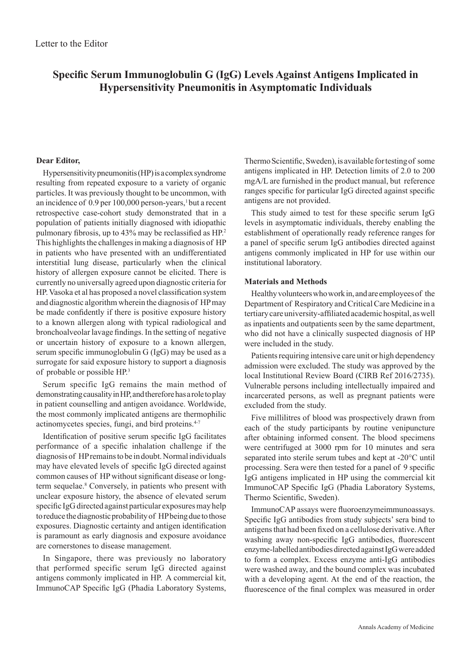# **Specific Serum Immunoglobulin G (IgG) Levels Against Antigens Implicated in Hypersensitivity Pneumonitis in Asymptomatic Individuals**

## **Dear Editor,**

Hypersensitivity pneumonitis (HP) is a complex syndrome resulting from repeated exposure to a variety of organic particles. It was previously thought to be uncommon, with an incidence of 0.9 per 100,000 person-years,<sup>1</sup> but a recent retrospective case-cohort study demonstrated that in a population of  patients initially diagnosed with idiopathic pulmonary fibrosis, up to 43% may be reclassified as HP.<sup>2</sup> This highlights the challenges in making a diagnosis of HP in patients who have presented with an undifferentiated interstitial lung disease, particularly when the clinical history of allergen exposure cannot be elicited. There is currently no universally agreed upon diagnostic criteria for HP. Vasoka et al has proposed a novel classification system and diagnostic algorithm wherein the diagnosis of HP may be made confidently if there is positive exposure history to a known allergen along with typical radiological and bronchoalveolar lavage findings. In the setting of negative or uncertain history of exposure to a known allergen, serum specific immunoglobulin G (IgG) may be used as a surrogate for said exposure history to support a diagnosis of probable or possible HP.<sup>3</sup>

Serum specific IgG remains the main method of demonstrating causality in HP, and therefore has a role to play in patient counselling and antigen avoidance. Worldwide, the most commonly implicated antigens are thermophilic actinomycetes species, fungi, and bird proteins.<sup>4-7</sup>

Identification of  positive serum specific IgG facilitates performance of a specific inhalation challenge if the diagnosis of  HP remains to be in doubt. Normal individuals may have elevated levels of specific IgG directed against common causes of HP without significant disease or longterm sequelae.<sup>8</sup> Conversely, in patients who present with unclear exposure history, the absence of elevated serum specific IgG directed against particular exposures may help to reduce the diagnostic probability of  HP being due to those exposures. Diagnostic certainty and antigen identification is paramount as early diagnosis and exposure avoidance are cornerstones to disease management.

In Singapore, there was previously no laboratory that performed specific serum IgG directed against antigens commonly implicated in HP. A commercial kit, ImmunoCAP Specific IgG (Phadia Laboratory Systems, Thermo Scientific, Sweden), is available for testing of some antigens implicated in HP. Detection limits of 2.0 to 200 mgA/L are furnished in the product manual, but reference ranges specific for particular IgG directed against specific antigens are not provided.

This study aimed to test for these specific serum IgG levels in asymptomatic individuals, thereby enabling the establishment of  operationally ready reference ranges for a panel of specific serum IgG antibodies directed against antigens commonly implicated in HP for use within our institutional laboratory.

### **Materials and Methods**

Healthy volunteers who work in, and are employees of  the Department of Respiratory and Critical Care Medicine in a tertiary care university-affiliated academic hospital, as well as inpatients and outpatients seen by the same department, who did not have a clinically suspected diagnosis of HP were included in the study.

Patients requiring intensive care unit or high dependency admission were excluded. The study was approved by the local Institutional Review Board (CIRB Ref 2016/2735). Vulnerable persons including intellectually impaired and incarcerated persons, as well as pregnant patients were excluded from the study.

Five millilitres of blood was prospectively drawn from each of the study participants by routine venipuncture after obtaining informed consent. The blood specimens were centrifuged at 3000 rpm for 10 minutes and sera separated into sterile serum tubes and kept at -20°C until processing. Sera were then tested for a panel of 9 specific IgG antigens implicated in HP using the commercial kit ImmunoCAP Specific IgG (Phadia Laboratory Systems, Thermo Scientific, Sweden).

ImmunoCAP assays were fluoroenzymeimmunoassays. Specific IgG antibodies from study subjects' sera bind to antigens that had been fixed on a cellulose derivative. After washing away non-specific IgG antibodies, fluorescent enzyme-labelled antibodies directed against IgG were added to form a complex. Excess enzyme anti-IgG antibodies were washed away, and the bound complex was incubated with a developing agent. At the end of the reaction, the fluorescence of the final complex was measured in order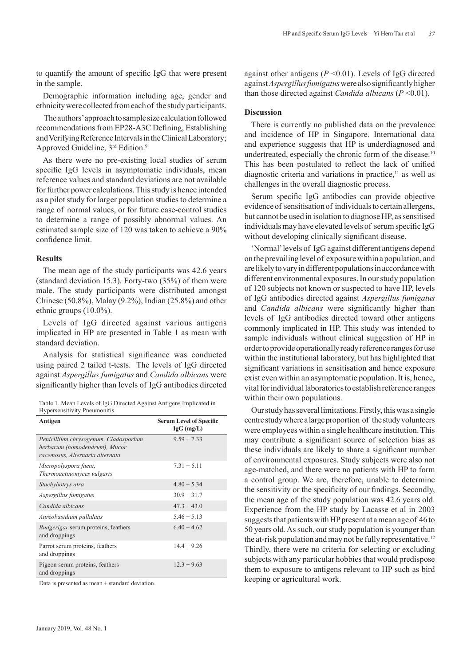to quantify the amount of specific IgG that were present in the sample.

Demographic information including age, gender and ethnicity were collected from each of the study participants.

 The authors' approach to sample size calculation followed recommendations from EP28-A3C Defining, Establishing and Verifying Reference Intervals in the Clinical Laboratory; Approved Guideline, 3<sup>rd</sup> Edition.<sup>9</sup>

As there were no pre-existing local studies of serum specific IgG levels in asymptomatic individuals, mean reference values and standard deviations are not available for further power calculations. This study is hence intended as a pilot study for larger population studies to determine a range of normal values, or for future case-control studies to determine a range of possibly abnormal values. An estimated sample size of 120 was taken to achieve a 90% confidence limit.

#### **Results**

The mean age of the study participants was 42.6 years (standard deviation 15.3). Forty-two (35%) of them were male. The study participants were distributed amongst Chinese (50.8%), Malay (9.2%), Indian (25.8%) and other ethnic groups (10.0%).

Levels of IgG directed against various antigens implicated in HP are presented in Table 1 as mean with standard deviation.

Analysis for statistical significance was conducted using paired 2 tailed t-tests. The levels of IgG directed against *Aspergillus fumigatus* and *Candida albicans* were significantly higher than levels of  IgG antibodies directed

| Table 1. Mean Levels of IgG Directed Against Antigens Implicated in |  |
|---------------------------------------------------------------------|--|
| <b>Hypersensitivity Pneumonitis</b>                                 |  |

| Antigen                                                                                                   | <b>Serum Level of Specific</b><br>$IgG$ (mg/L) |
|-----------------------------------------------------------------------------------------------------------|------------------------------------------------|
| Penicillium chrysogenum, Cladosporium<br>herbarum (homodendrum), Mucor<br>racemosus, Alternaria alternata | $9.59 + 7.33$                                  |
| Micropolyspora faeni,<br>Thermoactinomyces vulgaris                                                       | $7.31 + 5.11$                                  |
| Stachybotrys atra                                                                                         | $4.80 + 5.34$                                  |
| Aspergillus fumigatus                                                                                     | $30.9 + 31.7$                                  |
| Candida albicans                                                                                          | $47.3 + 43.0$                                  |
| Aureobasidium pullulans                                                                                   | $5.46 + 5.13$                                  |
| <i>Budgerigar</i> serum proteins, feathers<br>and droppings                                               | $6.40 + 4.62$                                  |
| Parrot serum proteins, feathers<br>and droppings                                                          | $14.4 + 9.26$                                  |
| Pigeon serum proteins, feathers<br>and droppings                                                          | $12.3 + 9.63$                                  |

Data is presented as mean + standard deviation.

against other antigens (*P* <0.01). Levels of IgG directed against *Aspergillus fumigatus* were also significantly higher than those directed against *Candida albicans* (*P* <0.01).

#### **Discussion**

There is currently no published data on the prevalence and incidence of HP in Singapore. International data and experience suggests that HP is underdiagnosed and undertreated, especially the chronic form of the disease.<sup>10</sup> This has been postulated to reflect the lack of unified diagnostic criteria and variations in practice, $\frac{11}{11}$  as well as challenges in the overall diagnostic process.

Serum specific IgG antibodies can provide objective evidence of sensitisation of individuals to certain allergens, but cannot be used in isolation to diagnose HP, as sensitised individuals may have elevated levels of serum specific IgG without developing clinically significant disease.

'Normal' levels of IgG against different antigens depend on the prevailing level of exposure within a population, and are likely to vary in different populations in accordance with different environmental exposures. In our study population of 120 subjects not known or suspected to have HP, levels of IgG antibodies directed against *Aspergillus fumigatus* and *Candida albicans* were significantly higher than levels of IgG antibodies directed toward other antigens commonly implicated in HP. This study was intended to sample individuals without clinical suggestion of HP in order to provide operationally ready reference ranges for use within the institutional laboratory, but has highlighted that significant variations in sensitisation and hence exposure exist even within an asymptomatic population. It is, hence, vital for individual laboratories to establish reference ranges within their own populations.

Our study has several limitations. Firstly, this was a single centre study where a large proportion of the study volunteers were employees within a single healthcare institution. This may contribute a significant source of selection bias as these individuals are likely to share a significant number of environmental exposures. Study subjects were also not age-matched, and there were no patients with HP to form a control group. We are, therefore, unable to determine the sensitivity or the specificity of our findings. Secondly, the mean age of the study population was 42.6 years old. Experience from the HP study by Lacasse et al in 2003 suggests that patients with HP present at a mean age of 46 to 50 years old. As such, our study population is younger than the at-risk population and may not be fully representative.<sup>12</sup> Thirdly, there were no criteria for selecting or excluding subjects with any particular hobbies that would predispose them to exposure to antigens relevant to HP such as bird keeping or agricultural work.